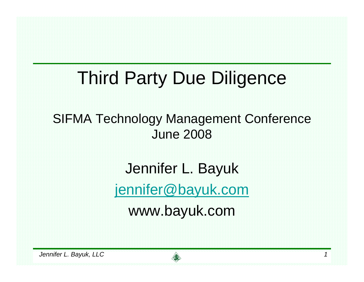### Third Party Due Diligence

#### SIFMA Technology Management Conference June 2008

Jennifer L. Bayuk

jennifer@bayuk.com

www.bayuk.com

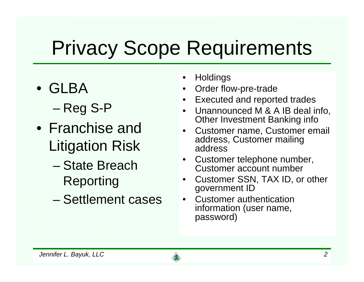## Privacy Scope Requirements

- GLBA
	- Reg S-P
- Franchise and Litigation Risk
	- State Breach Reporting
	- Settlement cases
- •**Holdings**
- •Order flow-pre-trade
- •Executed and reported trades
- • Unannounced M & A IB deal info, Other Investment Banking info
- • Customer name, Customer email address, Customer mailing address
- • Customer telephone number, Customer account number
- • Customer SSN, TAX ID, or other government ID
- • Customer authentication information (user name, password)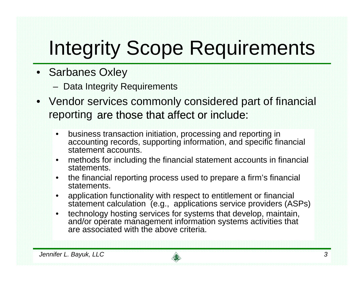# Integrity Scope Requirements

- Sarbanes Oxley
	- Data Integrity Requirements
- Vendor services commonly considered part of financial reporting are those that affect or include:
	- $\bullet$  business transaction initiation, processing and reporting in accounting records, supporting information, and specific financial statement accounts.
	- $\bullet$  methods for including the financial statement accounts in financial statements.
	- $\bullet$  the financial reporting process used to prepare a firm's financial statements.
	- $\bullet$  application functionality with respect to entitlement or financial statement calculation (e.g., applications service providers (ASPs)
	- $\bullet$  technology hosting services for systems that develop, maintain, and/or operate management information systems activities that are associated with the above criteria.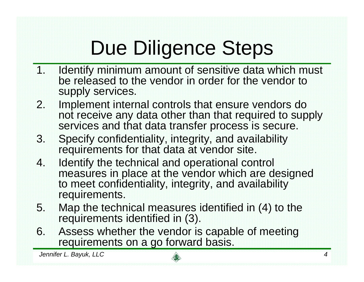# Due Diligence Steps

- 1. Identify minimum amount of sensitive data which must be released to the vendor in order for the vendor to supply services.
- 2. Implement internal controls that ensure vendors do not receive any data other than that required to supply services and that data transfer process is secure.
- 3. Specify confidentiality, integrity, and availability requirements for that data at vendor site.
- 4. Identify the technical and operational control measures in place at the vendor which are designed to meet confidentiality, integrity, and availability requirements.
- 5. Map the technical measures identified in (4) to the requirements identified in (3).
- 6. Assess whether the vendor is capable of meeting requirements on a go forward basis.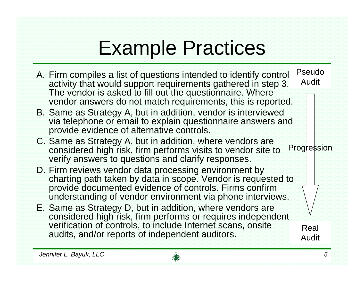## Example Practices

A. Firm compiles a list of questions intended to identify control activity that would support requirements gathered in step 3. The vendor is asked to fill out the questionnaire. Where vendor answers do not match requirements, this is reported. B. Same as Strategy A, but in addition, vendor is interviewed via telephone or email to explain questionnaire answers and provide evidence of alternative controls. C. Same as Strategy A, but in addition, where vendors are considered high risk, firm performs visits to vendor site to verify answers to questions and clarify responses. D. Firm reviews vendor data processing environment by charting path taken by data in scope. Vendor is requested to provide documented evidence of controls. Firms confirm understanding of vendor environment via phone interviews. E. Same as Strategy D, but in addition, where vendors are considered high risk, firm performs or requires independent verification of controls, to include Internet scans, onsite audits, and/or reports of independent auditors. **Progression** Real AuditPseudo Audit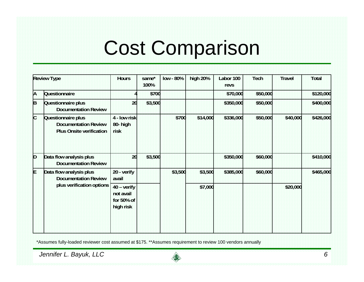## Cost Comparison

| <b>Review Type</b> |                                                                                      | <b>Hours</b>                                                 | same*<br>100% | low - 80% | high 20% | Labor 100<br>revs | Tech     | <b>Travel</b> | <b>Total</b> |
|--------------------|--------------------------------------------------------------------------------------|--------------------------------------------------------------|---------------|-----------|----------|-------------------|----------|---------------|--------------|
| А                  | <b>Questionnaire</b>                                                                 |                                                              | \$700         |           |          | \$70,000          | \$50,000 |               | \$120,000    |
| B                  | Questionnaire plus<br><b>Documentation Review</b>                                    | 20                                                           | \$3,500       |           |          | \$350,000         | \$50,000 |               | \$400,000    |
| C                  | Questionnaire plus<br><b>Documentation Review</b><br><b>Plus Onsite verification</b> | 4 - Iow risk<br>80- high<br>risk                             |               | \$700     | \$14,000 | \$336,000         | \$50,000 | \$40,000      | \$426,000    |
| D                  | Data flow analysis plus<br><b>Documentation Review</b>                               | 20                                                           | \$3,500       |           |          | \$350,000         | \$60,000 |               | \$410,000    |
| F                  | Data flow analysis plus<br><b>Documentation Review</b><br>plus verification options  | 20 - verify<br>avail                                         |               | \$3,500   | \$3,500  | \$385,000         | \$60,000 |               | \$465,000    |
|                    |                                                                                      | $40 - \text{verify}$<br>not avail<br>for 50% of<br>high risk |               |           | \$7,000  |                   |          | \$20,000      |              |

\*Assumes fully-loaded reviewer cost assumed at \$175. \*\*Assumes requirement to review 100 vendors annually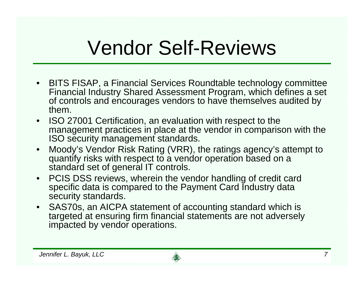## Vendor Self-Reviews

- BITS FISAP, a Financial Services Roundtable technology committee Financial Industry Shared Assessment Program, which defines a set of controls and encourages vendors to have themselves audited by them.
- ISO 27001 Certification, an evaluation with respect to the management practices in place at the vendor in comparison with the ISO security management standards.
- • Moody's Vendor Risk Rating (VRR), the ratings agency's attempt to quantify risks with respect to a vendor operation based on a standard set of general IT controls.
- PCIS DSS reviews, wherein the vendor handling of credit card specific data is compared to the Payment Card Industry data security standards.
- SAS70s, an AICPA statement of accounting standard which is targeted at ensuring firm financial statements are not adversely impacted by vendor operations.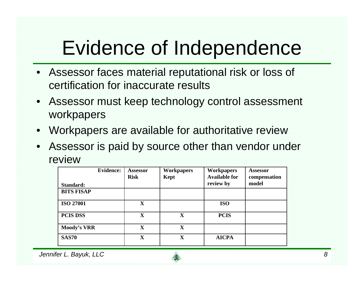## Evidence of Independence

- Assessor faces material reputational risk or loss of certification for inaccurate results
- $\bullet$  Assessor must keep technology control assessment workpapers
- Workpapers are available for authoritative review
- • Assessor is paid by source other than vendor under review

| <b>Evidence:</b>   | <b>Assessor</b><br><b>Risk</b> | <b>Workpapers</b><br>Kept | <b>Workpapers</b><br><b>Available for</b> | <b>Assessor</b><br>compensation |
|--------------------|--------------------------------|---------------------------|-------------------------------------------|---------------------------------|
| Standard:          |                                |                           | review by                                 | model                           |
| <b>BITS FISAP</b>  |                                |                           |                                           |                                 |
| <b>ISO 27001</b>   | $\mathbf{X}$                   |                           | <b>ISO</b>                                |                                 |
| <b>PCIS DSS</b>    | $\mathbf X$                    | X                         | <b>PCIS</b>                               |                                 |
| <b>Moody's VRR</b> | $\mathbf X$                    | $\mathbf X$               |                                           |                                 |
| <b>SAS70</b>       | $\mathbf X$                    | $\mathbf X$               | <b>AICPA</b>                              |                                 |

*Jennifer L. Bayuk, LLC 8*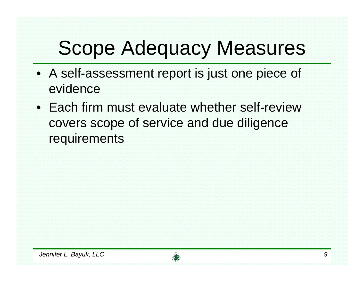# Scope Adequacy Measures

- A self-assessment report is just one piece of evidence
- Each firm must evaluate whether self-review covers scope of service and due diligence requirements

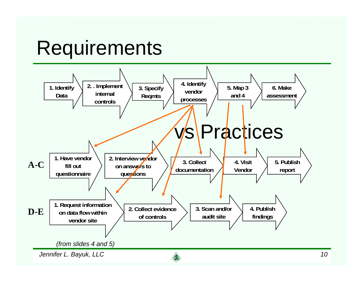#### **Requirements**

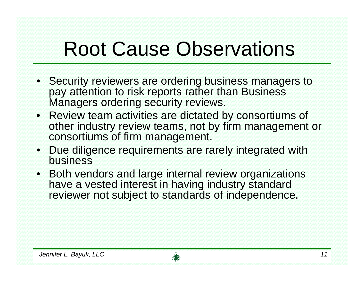## Root Cause Observations

- Security reviewers are ordering business managers to pay attention to risk reports rather than Business Managers ordering security reviews.
- Review team activities are dictated by consortiums of other industry review teams, not by firm management or consortiums of firm management.
- Due diligence requirements are rarely integrated with business
- Both vendors and large internal review organizations have a vested interest in having industry standard reviewer not subject to standards of independence.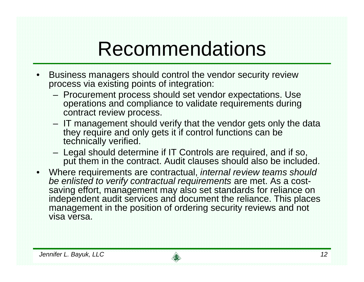### Recommendations

- • Business managers should control the vendor security review process via existing points of integration:
	- Procurement process should set vendor expectations. Use operations and compliance to validate requirements during contract review process.
	- IT management should verify that the vendor gets only the data they require and only gets it if control functions can be technically verified.
	- Legal should determine if IT Controls are required, and if so, put them in the contract. Audit clauses should also be included.
- $\bullet$  Where requirements are contractual, *internal review teams should be enlisted to verify contractual requirements* are met. As a costsaving effort, management may also set standards for reliance on independent audit services and document the reliance. This places management in the position of ordering security reviews and not visa versa.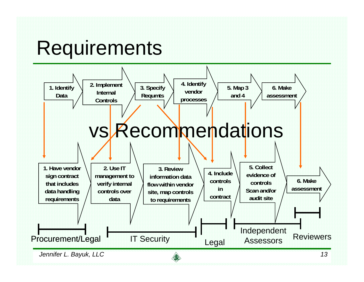#### **Requirements**

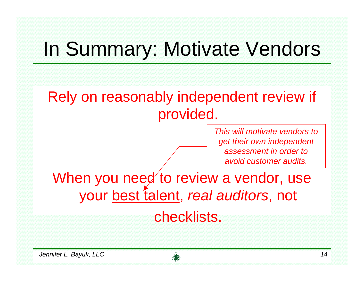# In Summary: Motivate Vendors

Rely on reasonably independent review if provided.

> *This will motivate vendors toget their own independent assessment in order toavoid customer audits.*

When you need to review a vendor, use your best talent, *real auditors*, not

#### checklists.